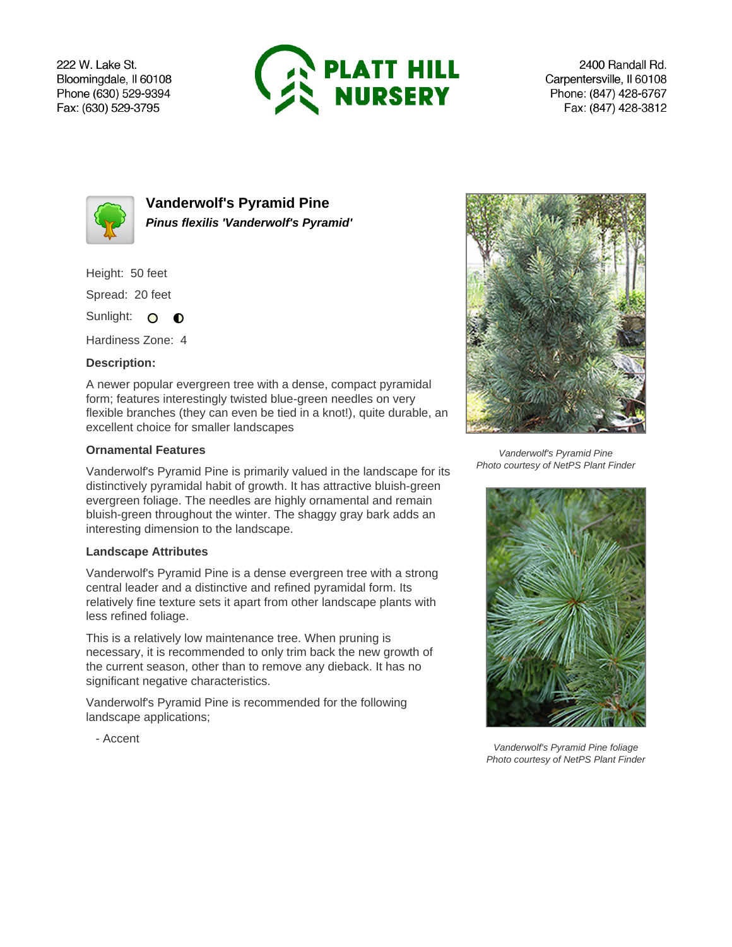222 W. Lake St. Bloomingdale, Il 60108 Phone (630) 529-9394 Fax: (630) 529-3795



2400 Randall Rd. Carpentersville, Il 60108 Phone: (847) 428-6767 Fax: (847) 428-3812



**Vanderwolf's Pyramid Pine Pinus flexilis 'Vanderwolf's Pyramid'**

Height: 50 feet

Spread: 20 feet

Sunlight: O **O** 

Hardiness Zone: 4

## **Description:**

A newer popular evergreen tree with a dense, compact pyramidal form; features interestingly twisted blue-green needles on very flexible branches (they can even be tied in a knot!), quite durable, an excellent choice for smaller landscapes

## **Ornamental Features**

Vanderwolf's Pyramid Pine is primarily valued in the landscape for its distinctively pyramidal habit of growth. It has attractive bluish-green evergreen foliage. The needles are highly ornamental and remain bluish-green throughout the winter. The shaggy gray bark adds an interesting dimension to the landscape.

## **Landscape Attributes**

Vanderwolf's Pyramid Pine is a dense evergreen tree with a strong central leader and a distinctive and refined pyramidal form. Its relatively fine texture sets it apart from other landscape plants with less refined foliage.

This is a relatively low maintenance tree. When pruning is necessary, it is recommended to only trim back the new growth of the current season, other than to remove any dieback. It has no significant negative characteristics.

Vanderwolf's Pyramid Pine is recommended for the following landscape applications;



Vanderwolf's Pyramid Pine Photo courtesy of NetPS Plant Finder



Vanderwolf's Pyramid Pine foliage Photo courtesy of NetPS Plant Finder

- Accent